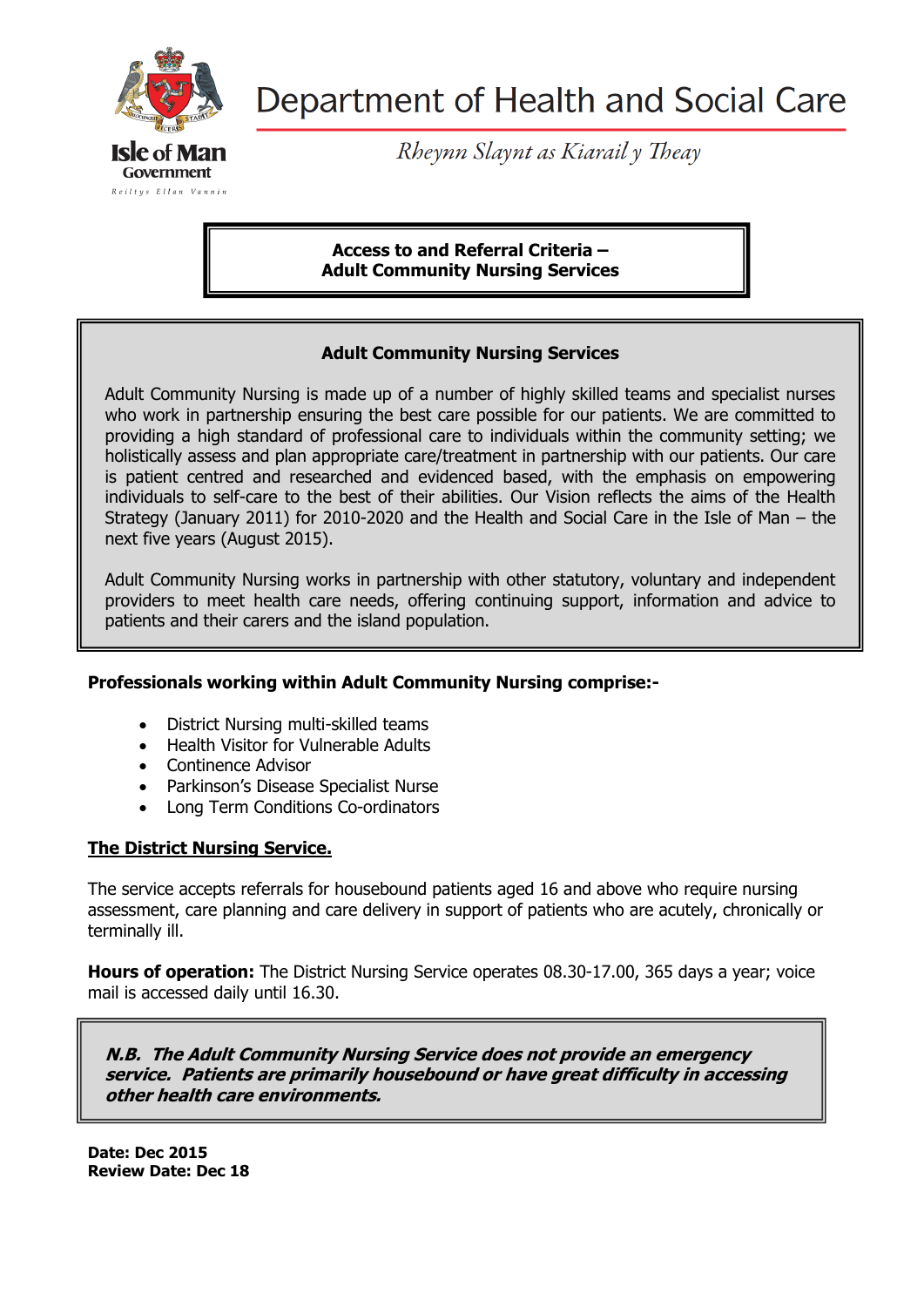

Reiltys Ellan Vannin

Department of Health and Social Care

Rheynn Slaynt as Kiarail y Theay

**Access to and Referral Criteria – Adult Community Nursing Services**

#### **Adult Community Nursing Services**

Adult Community Nursing is made up of a number of highly skilled teams and specialist nurses who work in partnership ensuring the best care possible for our patients. We are committed to providing a high standard of professional care to individuals within the community setting; we holistically assess and plan appropriate care/treatment in partnership with our patients. Our care is patient centred and researched and evidenced based, with the emphasis on empowering individuals to self-care to the best of their abilities. Our Vision reflects the aims of the Health Strategy (January 2011) for 2010-2020 and the Health and Social Care in the Isle of Man – the next five years (August 2015).

Adult Community Nursing works in partnership with other statutory, voluntary and independent providers to meet health care needs, offering continuing support, information and advice to patients and their carers and the island population.

## **Professionals working within Adult Community Nursing comprise:-**

- District Nursing multi-skilled teams
- Health Visitor for Vulnerable Adults
- Continence Advisor
- Parkinson's Disease Specialist Nurse
- Long Term Conditions Co-ordinators

## **The District Nursing Service.**

The service accepts referrals for housebound patients aged 16 and above who require nursing assessment, care planning and care delivery in support of patients who are acutely, chronically or terminally ill.

**Hours of operation:** The District Nursing Service operates 08.30-17.00, 365 days a year; voice mail is accessed daily until 16.30.

**N.B. The Adult Community Nursing Service does not provide an emergency service. Patients are primarily housebound or have great difficulty in accessing other health care environments.**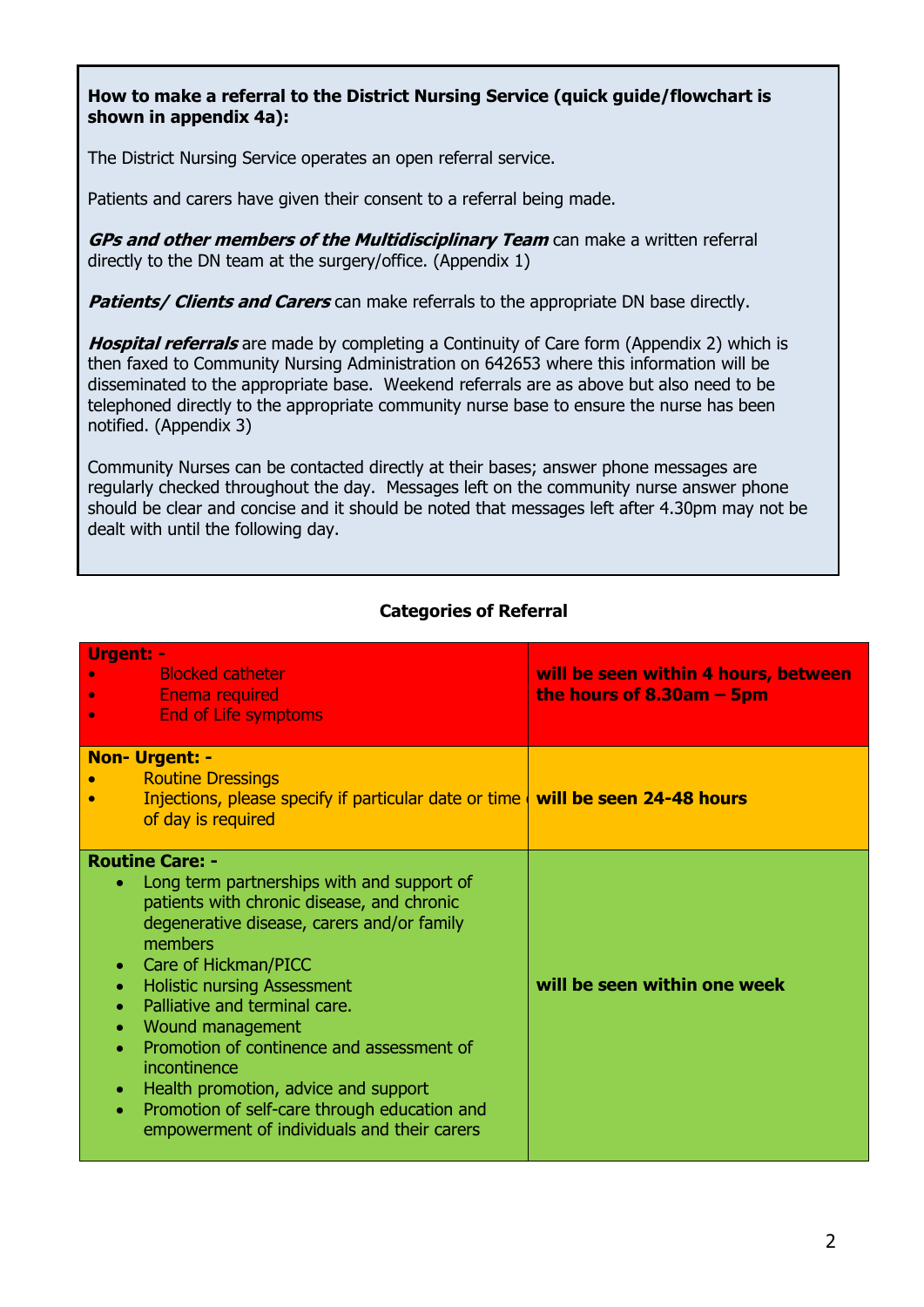## **How to make a referral to the District Nursing Service (quick guide/flowchart is shown in appendix 4a):**

The District Nursing Service operates an open referral service.

Patients and carers have given their consent to a referral being made.

**GPs and other members of the Multidisciplinary Team** can make a written referral directly to the DN team at the surgery/office. (Appendix 1)

**Patients/ Clients and Carers** can make referrals to the appropriate DN base directly.

**Hospital referrals** are made by completing a Continuity of Care form (Appendix 2) which is then faxed to Community Nursing Administration on 642653 where this information will be disseminated to the appropriate base. Weekend referrals are as above but also need to be telephoned directly to the appropriate community nurse base to ensure the nurse has been notified. (Appendix 3)

Community Nurses can be contacted directly at their bases; answer phone messages are regularly checked throughout the day. Messages left on the community nurse answer phone should be clear and concise and it should be noted that messages left after 4.30pm may not be dealt with until the following day.

| Urgent: -<br><b>Blocked catheter</b><br><b>Enema required</b><br><b>End of Life symptoms</b><br>$\bullet$                                                                                                                                                                                                                                                                                                                                                                                                       | will be seen within 4 hours, between<br>the hours of $8.30am - 5pm$ |
|-----------------------------------------------------------------------------------------------------------------------------------------------------------------------------------------------------------------------------------------------------------------------------------------------------------------------------------------------------------------------------------------------------------------------------------------------------------------------------------------------------------------|---------------------------------------------------------------------|
| <b>Non- Urgent: -</b><br><b>Routine Dressings</b><br>Injections, please specify if particular date or time $\vert$ will be seen 24-48 hours<br>of day is required                                                                                                                                                                                                                                                                                                                                               |                                                                     |
| <b>Routine Care: -</b><br>Long term partnerships with and support of<br>patients with chronic disease, and chronic<br>degenerative disease, carers and/or family<br>members<br>Care of Hickman/PICC<br>$\bullet$<br><b>Holistic nursing Assessment</b><br>Palliative and terminal care.<br>Wound management<br>Promotion of continence and assessment of<br>incontinence<br>Health promotion, advice and support<br>Promotion of self-care through education and<br>empowerment of individuals and their carers | will be seen within one week                                        |

# **Categories of Referral**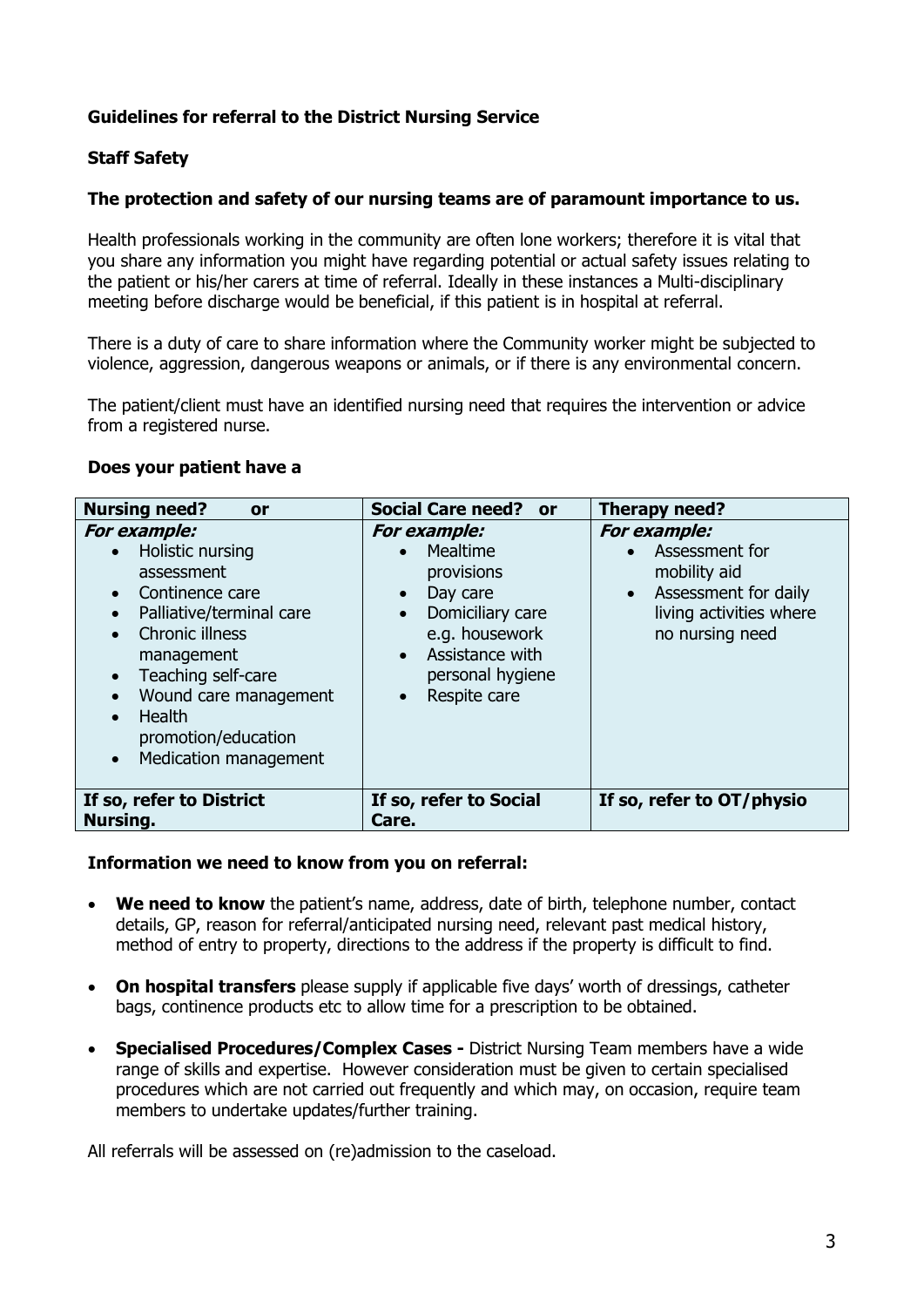# **Guidelines for referral to the District Nursing Service**

## **Staff Safety**

#### **The protection and safety of our nursing teams are of paramount importance to us.**

Health professionals working in the community are often lone workers; therefore it is vital that you share any information you might have regarding potential or actual safety issues relating to the patient or his/her carers at time of referral. Ideally in these instances a Multi-disciplinary meeting before discharge would be beneficial, if this patient is in hospital at referral.

There is a duty of care to share information where the Community worker might be subjected to violence, aggression, dangerous weapons or animals, or if there is any environmental concern.

The patient/client must have an identified nursing need that requires the intervention or advice from a registered nurse.

#### **Does your patient have a**

| <b>Nursing need?</b><br><b>or</b>                                                                                                                                                                                                                                                                                                                | <b>Social Care need?</b><br>or -                                                                                                                                                                                 | Therapy need?                                                                                                                            |
|--------------------------------------------------------------------------------------------------------------------------------------------------------------------------------------------------------------------------------------------------------------------------------------------------------------------------------------------------|------------------------------------------------------------------------------------------------------------------------------------------------------------------------------------------------------------------|------------------------------------------------------------------------------------------------------------------------------------------|
| <b>For example:</b><br>Holistic nursing<br>$\bullet$<br>assessment<br>Continence care<br>$\bullet$<br>Palliative/terminal care<br>$\bullet$<br><b>Chronic illness</b><br>$\bullet$<br>management<br>Teaching self-care<br>$\bullet$<br>Wound care management<br>Health<br>$\bullet$<br>promotion/education<br>Medication management<br>$\bullet$ | For example:<br>Mealtime<br>$\bullet$<br>provisions<br>Day care<br>$\bullet$<br>Domiciliary care<br>$\bullet$<br>e.g. housework<br>Assistance with<br>$\bullet$<br>personal hygiene<br>Respite care<br>$\bullet$ | <b>For example:</b><br>Assessment for<br>mobility aid<br>Assessment for daily<br>$\bullet$<br>living activities where<br>no nursing need |
| If so, refer to District<br>Nursing.                                                                                                                                                                                                                                                                                                             | If so, refer to Social<br>Care.                                                                                                                                                                                  | If so, refer to OT/physio                                                                                                                |

#### **Information we need to know from you on referral:**

- **We need to know** the patient's name, address, date of birth, telephone number, contact details, GP, reason for referral/anticipated nursing need, relevant past medical history, method of entry to property, directions to the address if the property is difficult to find.
- **On hospital transfers** please supply if applicable five days' worth of dressings, catheter bags, continence products etc to allow time for a prescription to be obtained.
- **Specialised Procedures/Complex Cases -** District Nursing Team members have a wide range of skills and expertise. However consideration must be given to certain specialised procedures which are not carried out frequently and which may, on occasion, require team members to undertake updates/further training.

All referrals will be assessed on (re)admission to the caseload.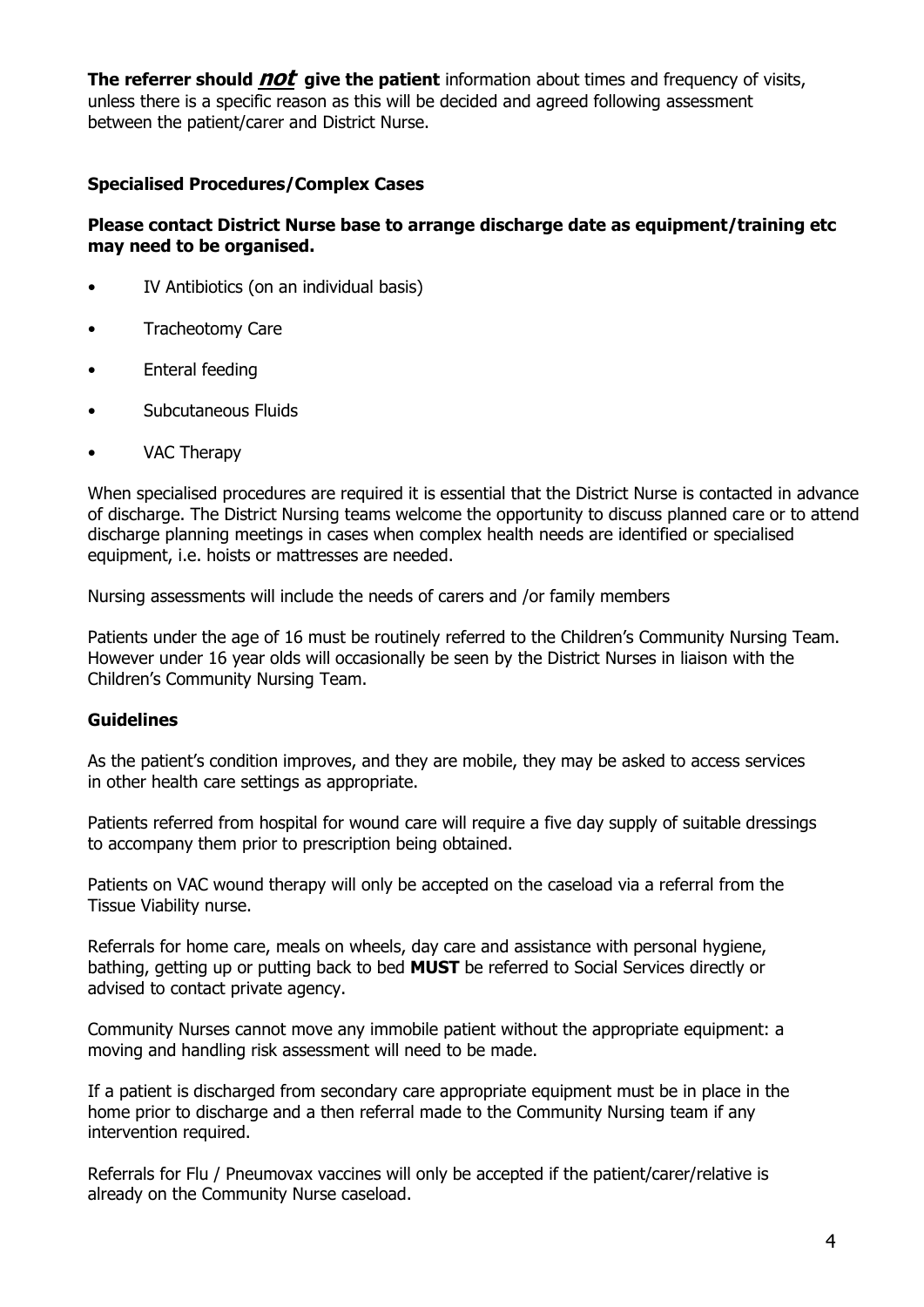**The referrer should** *not* give the patient information about times and frequency of visits, unless there is a specific reason as this will be decided and agreed following assessment between the patient/carer and District Nurse.

### **Specialised Procedures/Complex Cases**

### **Please contact District Nurse base to arrange discharge date as equipment/training etc may need to be organised.**

- IV Antibiotics (on an individual basis)
- Tracheotomy Care
- Enteral feeding
- Subcutaneous Fluids
- VAC Therapy

When specialised procedures are required it is essential that the District Nurse is contacted in advance of discharge. The District Nursing teams welcome the opportunity to discuss planned care or to attend discharge planning meetings in cases when complex health needs are identified or specialised equipment, i.e. hoists or mattresses are needed.

Nursing assessments will include the needs of carers and /or family members

Patients under the age of 16 must be routinely referred to the Children's Community Nursing Team. However under 16 year olds will occasionally be seen by the District Nurses in liaison with the Children's Community Nursing Team.

## **Guidelines**

As the patient's condition improves, and they are mobile, they may be asked to access services in other health care settings as appropriate.

Patients referred from hospital for wound care will require a five day supply of suitable dressings to accompany them prior to prescription being obtained.

Patients on VAC wound therapy will only be accepted on the caseload via a referral from the Tissue Viability nurse.

Referrals for home care, meals on wheels, day care and assistance with personal hygiene, bathing, getting up or putting back to bed **MUST** be referred to Social Services directly or advised to contact private agency.

Community Nurses cannot move any immobile patient without the appropriate equipment: a moving and handling risk assessment will need to be made.

If a patient is discharged from secondary care appropriate equipment must be in place in the home prior to discharge and a then referral made to the Community Nursing team if any intervention required.

Referrals for Flu / Pneumovax vaccines will only be accepted if the patient/carer/relative is already on the Community Nurse caseload.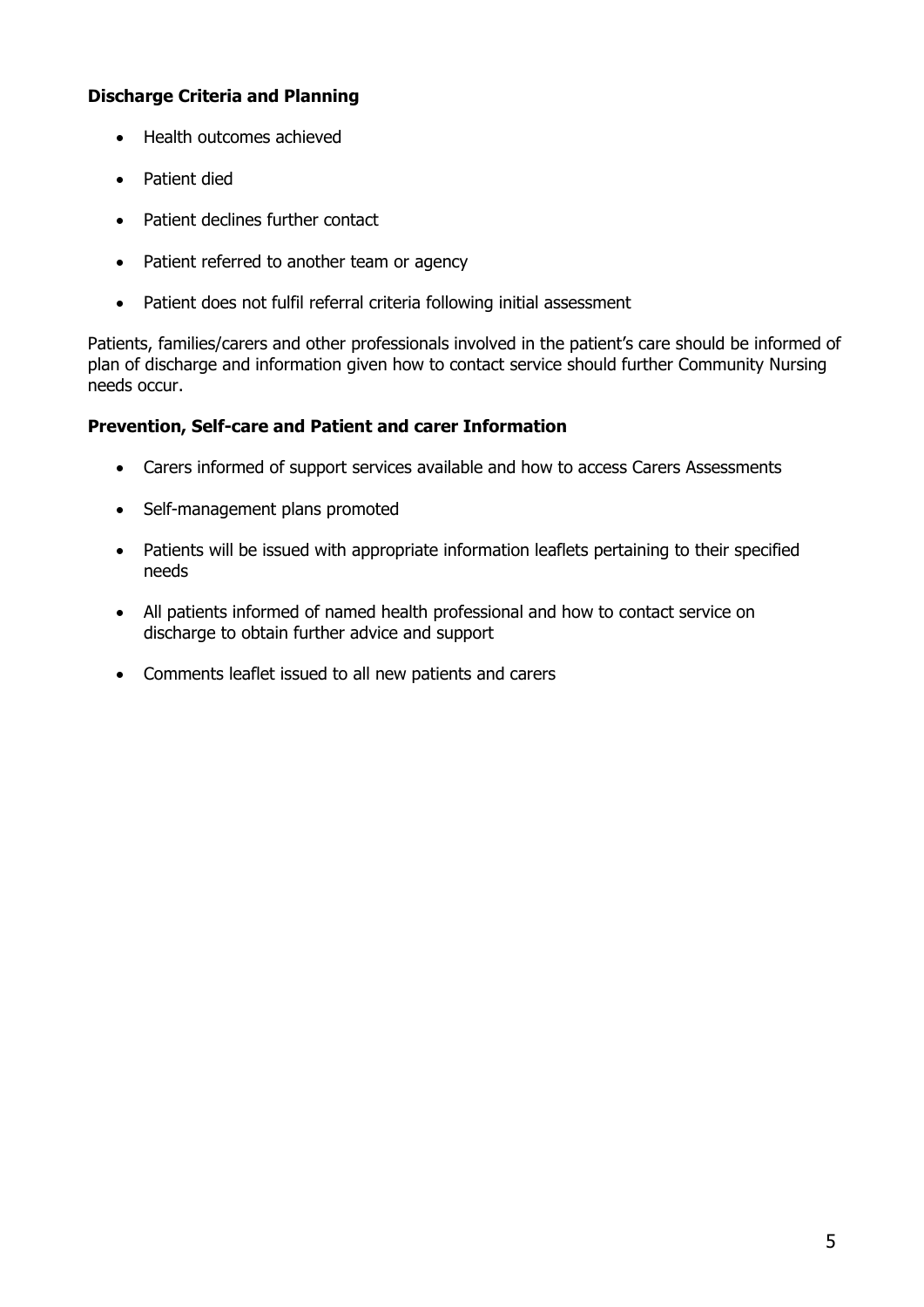# **Discharge Criteria and Planning**

- Health outcomes achieved
- Patient died
- Patient declines further contact
- Patient referred to another team or agency
- Patient does not fulfil referral criteria following initial assessment

Patients, families/carers and other professionals involved in the patient's care should be informed of plan of discharge and information given how to contact service should further Community Nursing needs occur.

## **Prevention, Self-care and Patient and carer Information**

- Carers informed of support services available and how to access Carers Assessments
- Self-management plans promoted
- Patients will be issued with appropriate information leaflets pertaining to their specified needs
- All patients informed of named health professional and how to contact service on discharge to obtain further advice and support
- Comments leaflet issued to all new patients and carers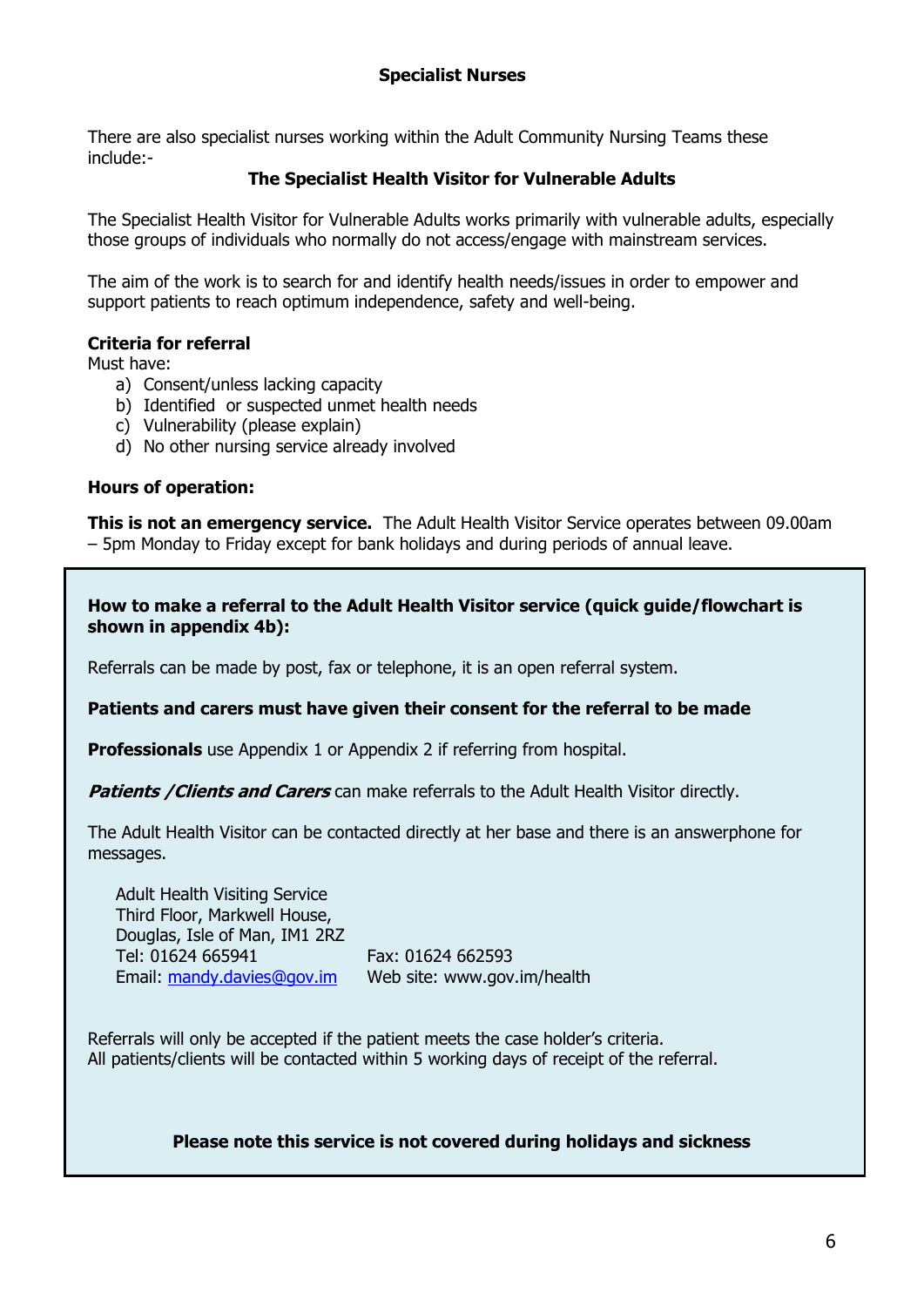There are also specialist nurses working within the Adult Community Nursing Teams these include:-

## **The Specialist Health Visitor for Vulnerable Adults**

The Specialist Health Visitor for Vulnerable Adults works primarily with vulnerable adults, especially those groups of individuals who normally do not access/engage with mainstream services.

The aim of the work is to search for and identify health needs/issues in order to empower and support patients to reach optimum independence, safety and well-being.

## **Criteria for referral**

Must have:

- a) Consent/unless lacking capacity
- b) Identified or suspected unmet health needs
- c) Vulnerability (please explain)
- d) No other nursing service already involved

#### **Hours of operation:**

**This is not an emergency service.** The Adult Health Visitor Service operates between 09.00am – 5pm Monday to Friday except for bank holidays and during periods of annual leave.

**How to make a referral to the Adult Health Visitor service (quick guide/flowchart is shown in appendix 4b):**

Referrals can be made by post, fax or telephone, it is an open referral system.

**Patients and carers must have given their consent for the referral to be made**

**Professionals** use Appendix 1 or Appendix 2 if referring from hospital.

**Patients / Clients and Carers** can make referrals to the Adult Health Visitor directly.

The Adult Health Visitor can be contacted directly at her base and there is an answerphone for messages.

Adult Health Visiting Service Third Floor, Markwell House, Douglas, Isle of Man, IM1 2RZ Tel: 01624 665941 Fax: 01624 662593 Email: [mandy.davies@gov.im](mailto:mandy.davies@gov.im) Web site: www.gov.im/health

Referrals will only be accepted if the patient meets the case holder's criteria. All patients/clients will be contacted within 5 working days of receipt of the referral.

**Please note this service is not covered during holidays and sickness**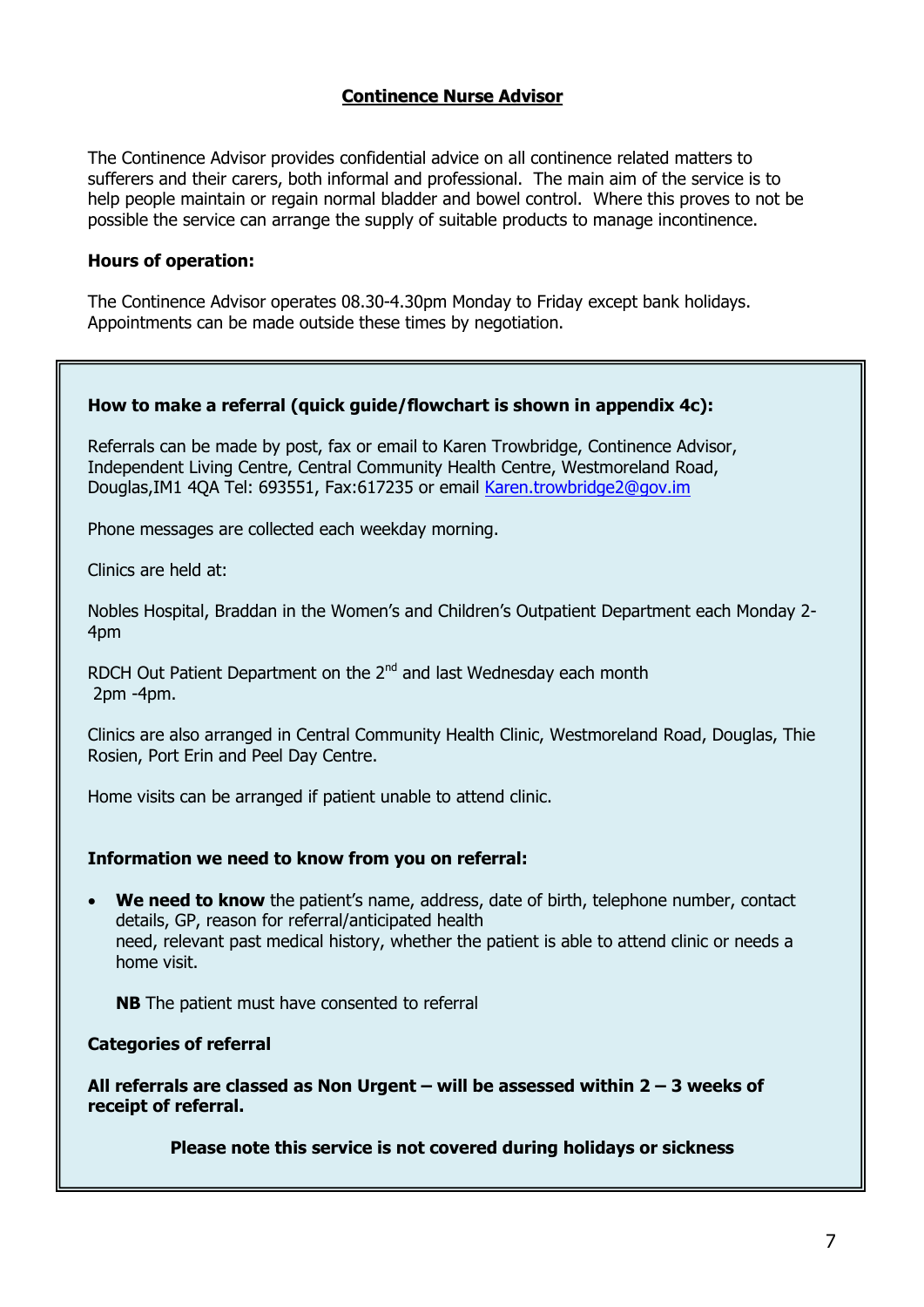## **Continence Nurse Advisor**

The Continence Advisor provides confidential advice on all continence related matters to sufferers and their carers, both informal and professional. The main aim of the service is to help people maintain or regain normal bladder and bowel control. Where this proves to not be possible the service can arrange the supply of suitable products to manage incontinence.

#### **Hours of operation:**

The Continence Advisor operates 08.30-4.30pm Monday to Friday except bank holidays. Appointments can be made outside these times by negotiation.

## **How to make a referral (quick guide/flowchart is shown in appendix 4c):**

Referrals can be made by post, fax or email to Karen Trowbridge, Continence Advisor, Independent Living Centre, Central Community Health Centre, Westmoreland Road, Douglas,IM1 4QA Tel: 693551, Fax:617235 or email [Karen.trowbridge2@gov.im](mailto:Karen.trowbridge2@gov.im)

Phone messages are collected each weekday morning.

Clinics are held at:

Nobles Hospital, Braddan in the Women's and Children's Outpatient Department each Monday 2- 4pm

RDCH Out Patient Department on the 2<sup>nd</sup> and last Wednesday each month 2pm -4pm.

Clinics are also arranged in Central Community Health Clinic, Westmoreland Road, Douglas, Thie Rosien, Port Erin and Peel Day Centre.

Home visits can be arranged if patient unable to attend clinic.

#### **Information we need to know from you on referral:**

 **We need to know** the patient's name, address, date of birth, telephone number, contact details, GP, reason for referral/anticipated health need, relevant past medical history, whether the patient is able to attend clinic or needs a home visit.

**NB** The patient must have consented to referral

**Categories of referral**

**All referrals are classed as Non Urgent – will be assessed within 2 – 3 weeks of receipt of referral.**

**Please note this service is not covered during holidays or sickness**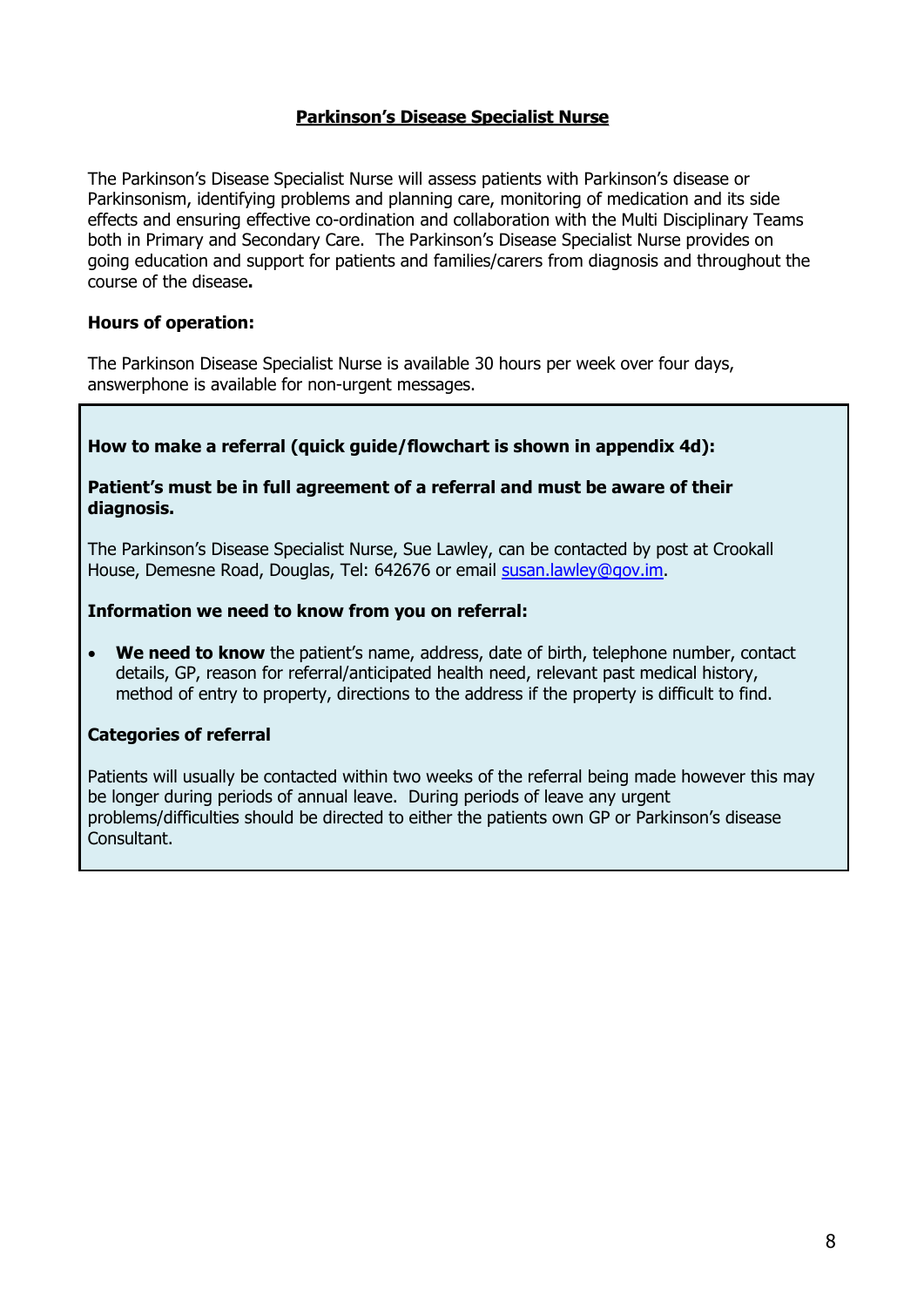## **Parkinson's Disease Specialist Nurse**

The Parkinson's Disease Specialist Nurse will assess patients with Parkinson's disease or Parkinsonism, identifying problems and planning care, monitoring of medication and its side effects and ensuring effective co-ordination and collaboration with the Multi Disciplinary Teams both in Primary and Secondary Care. The Parkinson's Disease Specialist Nurse provides on going education and support for patients and families/carers from diagnosis and throughout the course of the disease**.** 

### **Hours of operation:**

The Parkinson Disease Specialist Nurse is available 30 hours per week over four days, answerphone is available for non-urgent messages.

## **How to make a referral (quick guide/flowchart is shown in appendix 4d):**

#### **Patient's must be in full agreement of a referral and must be aware of their diagnosis.**

The Parkinson's Disease Specialist Nurse, Sue Lawley, can be contacted by post at Crookall House, Demesne Road, Douglas, Tel: 642676 or email [susan.lawley@gov.im.](mailto:susan.lawley@gov.im)

#### **Information we need to know from you on referral:**

 **We need to know** the patient's name, address, date of birth, telephone number, contact details, GP, reason for referral/anticipated health need, relevant past medical history, method of entry to property, directions to the address if the property is difficult to find.

#### **Categories of referral**

Patients will usually be contacted within two weeks of the referral being made however this may be longer during periods of annual leave. During periods of leave any urgent problems/difficulties should be directed to either the patients own GP or Parkinson's disease Consultant.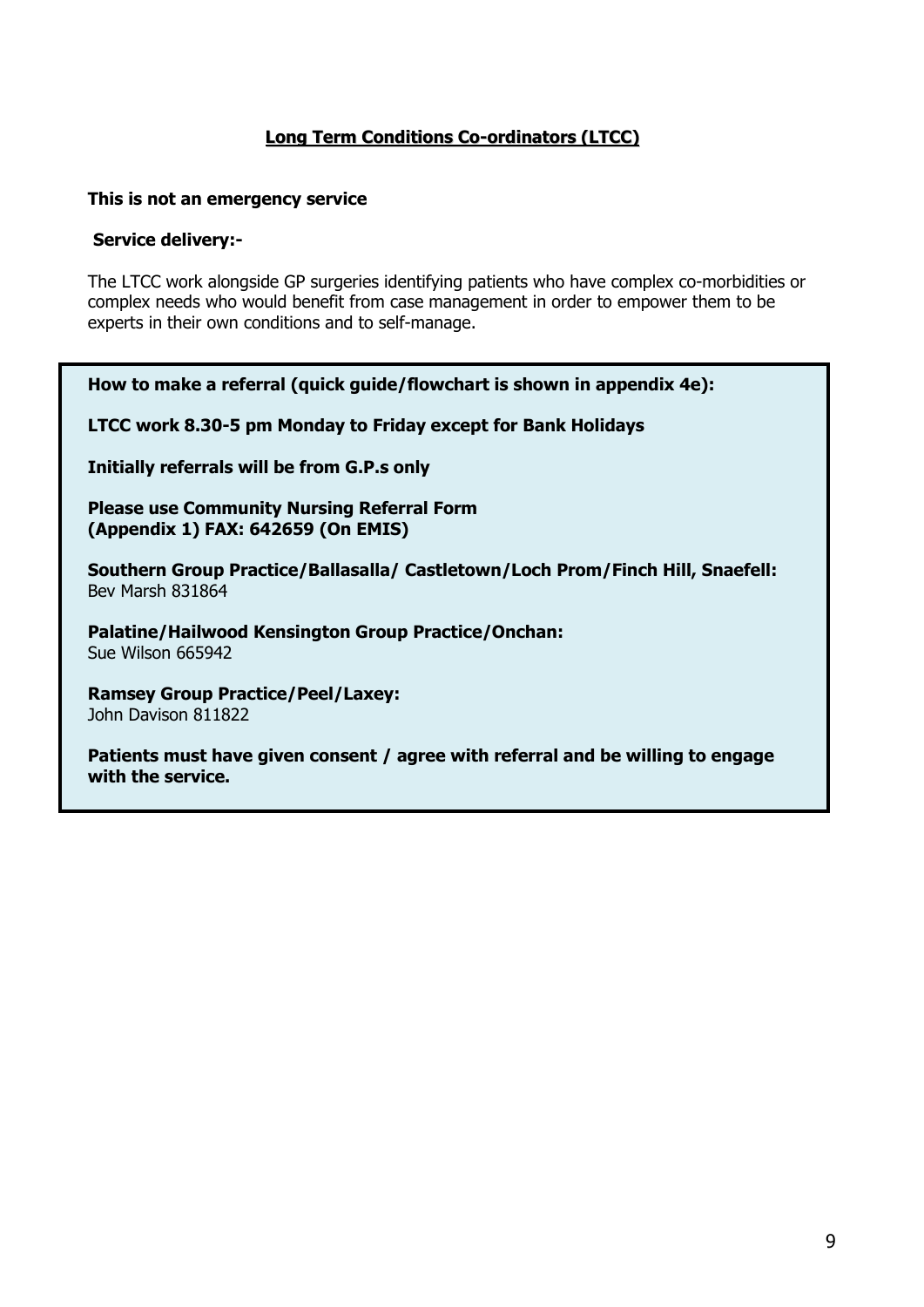# **Long Term Conditions Co-ordinators (LTCC)**

#### **This is not an emergency service**

#### **Service delivery:-**

The LTCC work alongside GP surgeries identifying patients who have complex co-morbidities or complex needs who would benefit from case management in order to empower them to be experts in their own conditions and to self-manage.

**How to make a referral (quick guide/flowchart is shown in appendix 4e):**

**LTCC work 8.30-5 pm Monday to Friday except for Bank Holidays**

**Initially referrals will be from G.P.s only**

**Please use Community Nursing Referral Form (Appendix 1) FAX: 642659 (On EMIS)**

**Southern Group Practice/Ballasalla/ Castletown/Loch Prom/Finch Hill, Snaefell:** Bev Marsh 831864

**Palatine/Hailwood Kensington Group Practice/Onchan:** Sue Wilson 665942

**Ramsey Group Practice/Peel/Laxey:** John Davison 811822

**Patients must have given consent / agree with referral and be willing to engage with the service.**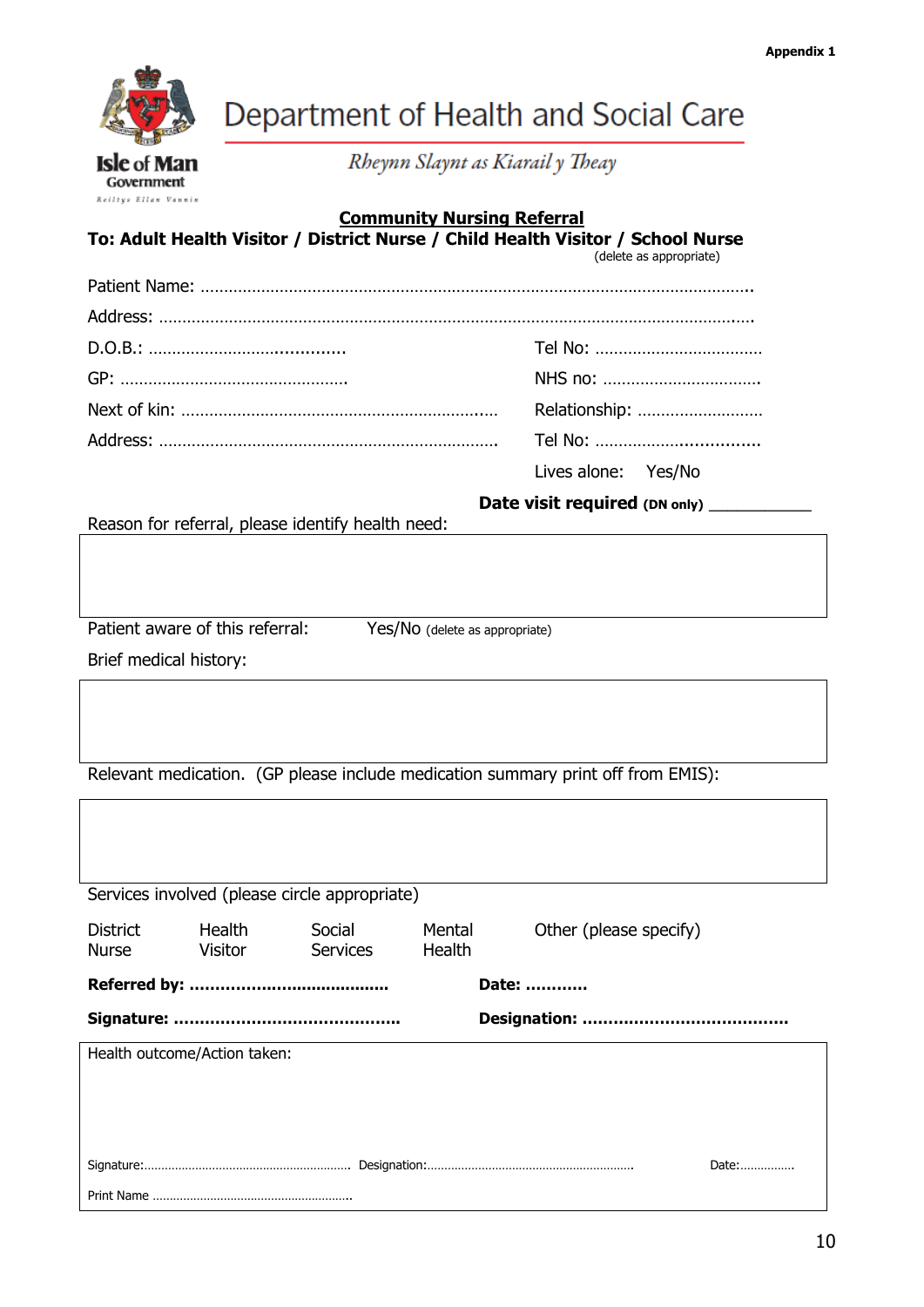

Reiltys Ellan Vannin

Department of Health and Social Care

Rheynn Slaynt as Kiarail y Theay

# **Community Nursing Referral**

#### **To: Adult Health Visitor / District Nurse / Child Health Visitor / School Nurse** (delete as appropriate)

| Relationship:       |
|---------------------|
|                     |
| Lives alone: Yes/No |

Reason for referral, please identify health need:

Patient aware of this referral: Yes/No (delete as appropriate)

Date visit required (DN only)

Brief medical history:

Relevant medication. (GP please include medication summary print off from EMIS):

| Services involved (please circle appropriate) |                   |                           |                  |                        |  |
|-----------------------------------------------|-------------------|---------------------------|------------------|------------------------|--|
| District<br><b>Nurse</b>                      | Health<br>Visitor | Social<br><b>Services</b> | Mental<br>Health | Other (please specify) |  |
| Date:                                         |                   |                           |                  |                        |  |
|                                               |                   |                           |                  |                        |  |
| Health outcome/Action taken:                  |                   |                           |                  |                        |  |
|                                               |                   |                           |                  |                        |  |
|                                               |                   |                           |                  |                        |  |
| Date:                                         |                   |                           |                  |                        |  |
|                                               |                   |                           |                  |                        |  |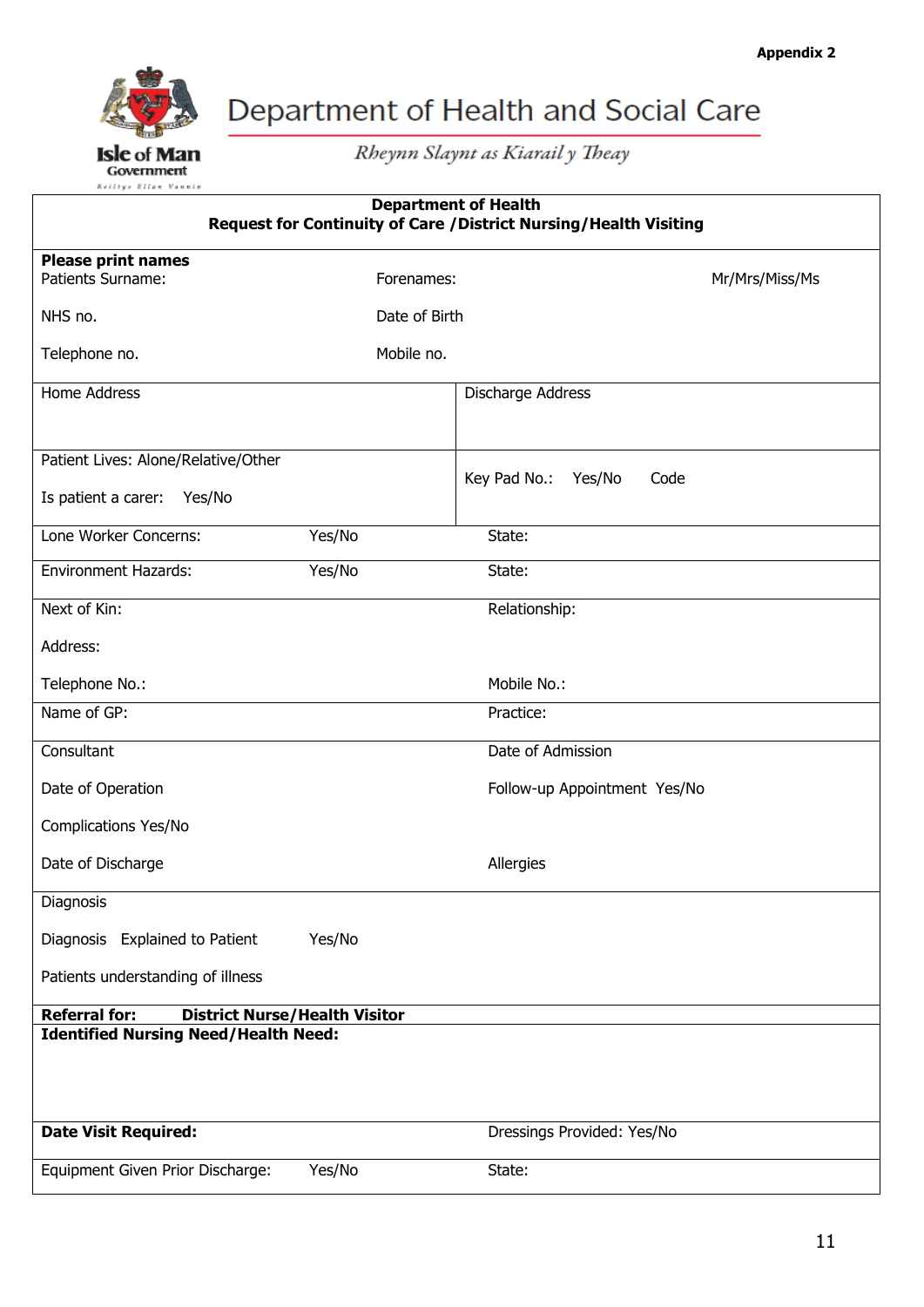

Rheynn Slaynt as Kiarail y Theay

| <b>Department of Health</b><br>Request for Continuity of Care / District Nursing/Health Visiting |               |                                |  |  |
|--------------------------------------------------------------------------------------------------|---------------|--------------------------------|--|--|
| <b>Please print names</b>                                                                        |               |                                |  |  |
| Patients Surname:                                                                                | Forenames:    | Mr/Mrs/Miss/Ms                 |  |  |
| NHS no.                                                                                          | Date of Birth |                                |  |  |
| Telephone no.                                                                                    | Mobile no.    |                                |  |  |
| Home Address                                                                                     |               | Discharge Address              |  |  |
|                                                                                                  |               |                                |  |  |
| Patient Lives: Alone/Relative/Other                                                              |               |                                |  |  |
| Is patient a carer: Yes/No                                                                       |               | Key Pad No.:<br>Yes/No<br>Code |  |  |
| Lone Worker Concerns:                                                                            | Yes/No        | State:                         |  |  |
| <b>Environment Hazards:</b>                                                                      | Yes/No        | State:                         |  |  |
| Next of Kin:                                                                                     |               | Relationship:                  |  |  |
| Address:                                                                                         |               |                                |  |  |
| Telephone No.:                                                                                   |               | Mobile No.:                    |  |  |
| Name of GP:                                                                                      |               | Practice:                      |  |  |
| Consultant                                                                                       |               | Date of Admission              |  |  |
| Date of Operation                                                                                |               | Follow-up Appointment Yes/No   |  |  |
| Complications Yes/No                                                                             |               |                                |  |  |
| Date of Discharge                                                                                |               | Allergies                      |  |  |
| Diagnosis                                                                                        |               |                                |  |  |
| Diagnosis Explained to Patient                                                                   | Yes/No        |                                |  |  |
| Patients understanding of illness                                                                |               |                                |  |  |
| <b>Referral for:</b><br><b>District Nurse/Health Visitor</b>                                     |               |                                |  |  |
| <b>Identified Nursing Need/Health Need:</b>                                                      |               |                                |  |  |
| <b>Date Visit Required:</b>                                                                      |               | Dressings Provided: Yes/No     |  |  |
| Equipment Given Prior Discharge:                                                                 | Yes/No        | State:                         |  |  |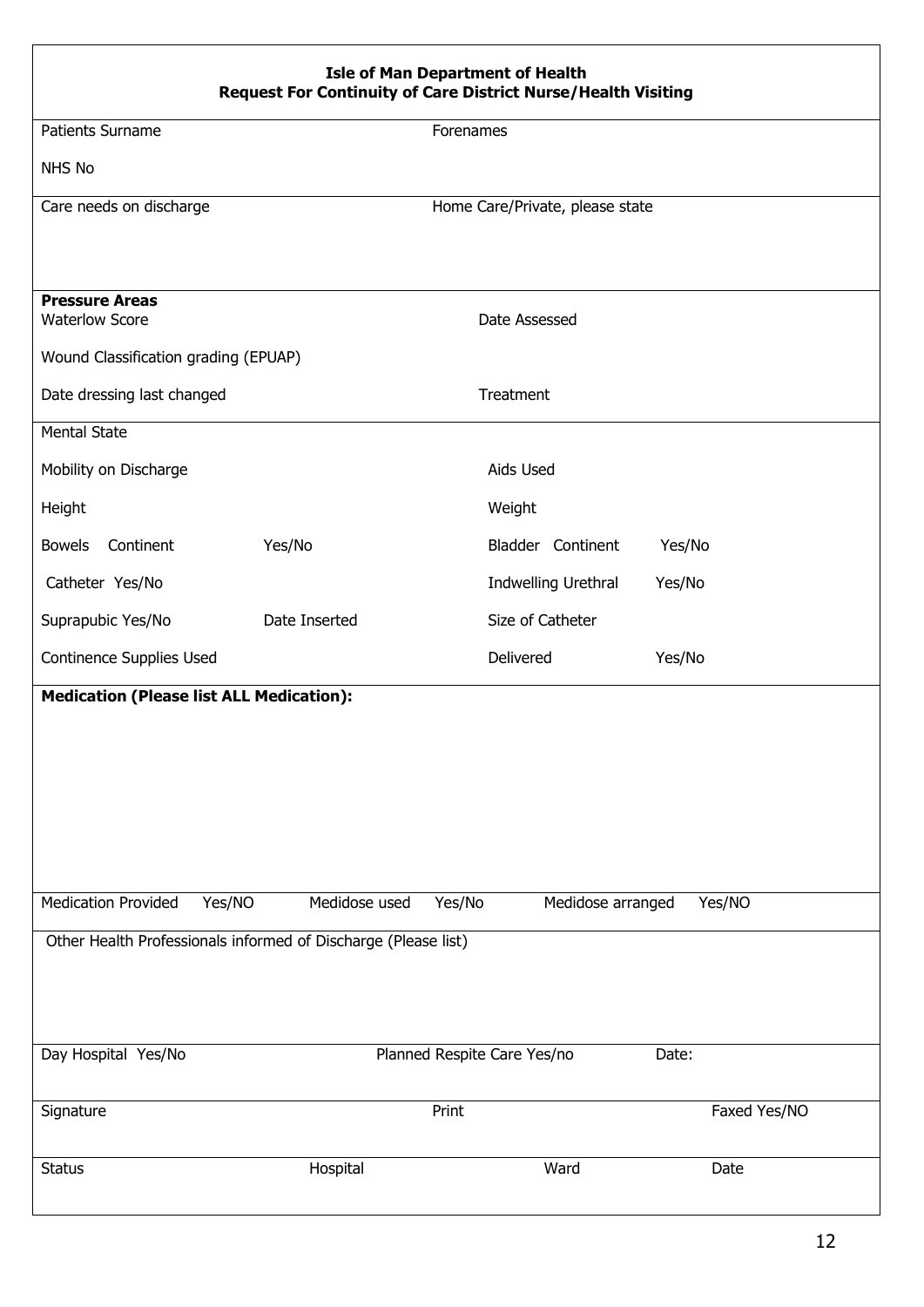| <b>Isle of Man Department of Health</b><br><b>Request For Continuity of Care District Nurse/Health Visiting</b> |               |                                 |              |
|-----------------------------------------------------------------------------------------------------------------|---------------|---------------------------------|--------------|
| Patients Surname                                                                                                |               | Forenames                       |              |
| NHS No                                                                                                          |               |                                 |              |
| Care needs on discharge                                                                                         |               | Home Care/Private, please state |              |
|                                                                                                                 |               |                                 |              |
| <b>Pressure Areas</b><br><b>Waterlow Score</b>                                                                  |               | Date Assessed                   |              |
| Wound Classification grading (EPUAP)                                                                            |               |                                 |              |
| Date dressing last changed                                                                                      |               | Treatment                       |              |
| <b>Mental State</b>                                                                                             |               |                                 |              |
| Mobility on Discharge                                                                                           |               | Aids Used                       |              |
| Height                                                                                                          |               | Weight                          |              |
| <b>Bowels</b><br>Continent                                                                                      | Yes/No        | Bladder Continent               | Yes/No       |
| Catheter Yes/No                                                                                                 |               | Indwelling Urethral             | Yes/No       |
| Suprapubic Yes/No                                                                                               | Date Inserted | Size of Catheter                |              |
| Continence Supplies Used                                                                                        |               | Delivered                       | Yes/No       |
| <b>Medication (Please list ALL Medication):</b>                                                                 |               |                                 |              |
|                                                                                                                 |               |                                 |              |
|                                                                                                                 |               |                                 |              |
|                                                                                                                 |               |                                 |              |
|                                                                                                                 |               |                                 |              |
|                                                                                                                 |               |                                 |              |
| <b>Medication Provided</b><br>Yes/NO                                                                            | Medidose used | Yes/No<br>Medidose arranged     | Yes/NO       |
| Other Health Professionals informed of Discharge (Please list)                                                  |               |                                 |              |
|                                                                                                                 |               |                                 |              |
|                                                                                                                 |               |                                 |              |
| Day Hospital Yes/No                                                                                             |               | Planned Respite Care Yes/no     | Date:        |
| Signature                                                                                                       |               | Print                           | Faxed Yes/NO |
|                                                                                                                 |               |                                 |              |
| <b>Status</b>                                                                                                   | Hospital      | Ward                            | Date         |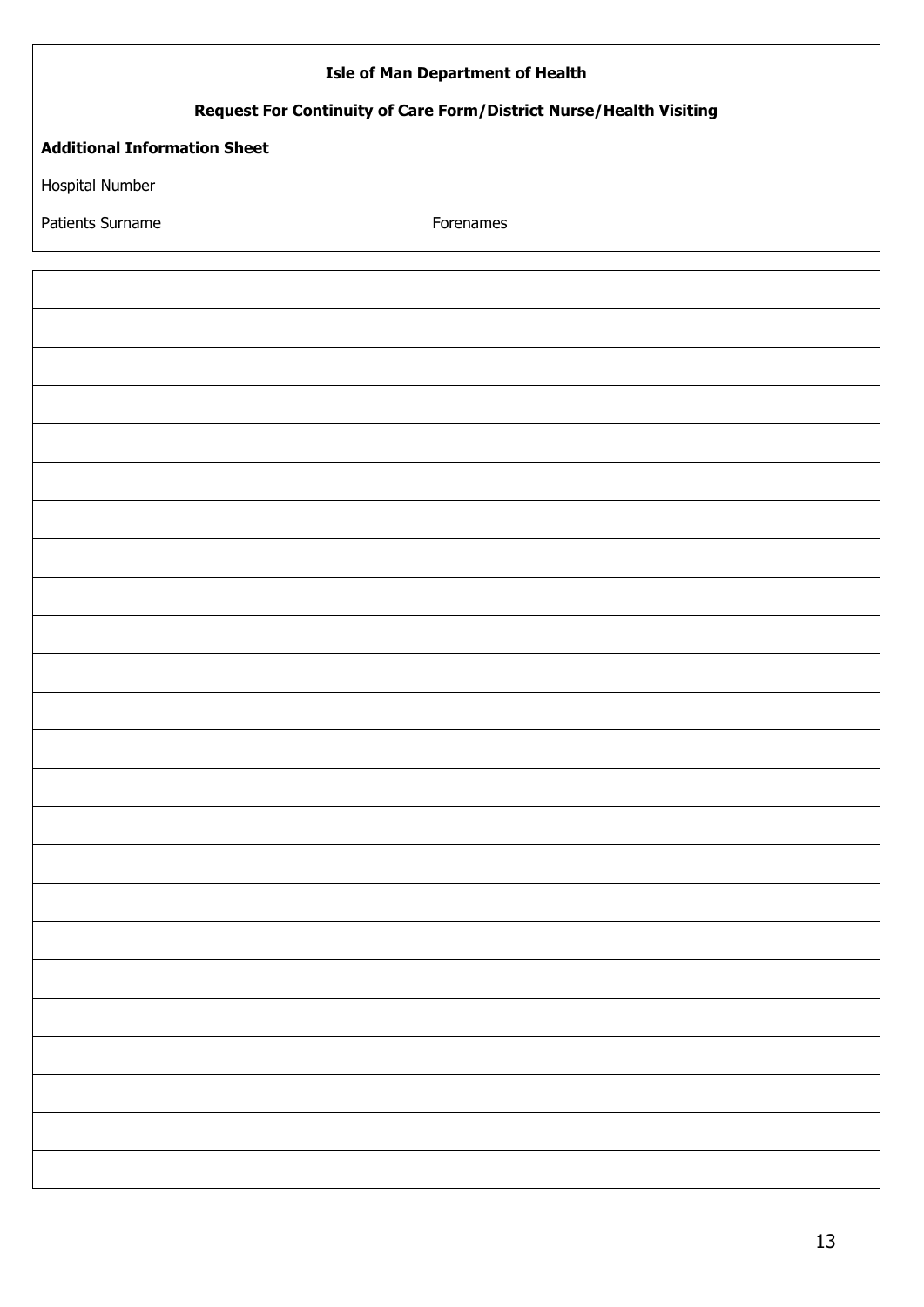| <b>Isle of Man Department of Health</b>                            |           |  |  |
|--------------------------------------------------------------------|-----------|--|--|
| Request For Continuity of Care Form/District Nurse/Health Visiting |           |  |  |
| <b>Additional Information Sheet</b>                                |           |  |  |
| Hospital Number                                                    |           |  |  |
| Patients Surname                                                   | Forenames |  |  |
|                                                                    |           |  |  |
|                                                                    |           |  |  |
|                                                                    |           |  |  |
|                                                                    |           |  |  |
|                                                                    |           |  |  |
|                                                                    |           |  |  |
|                                                                    |           |  |  |
|                                                                    |           |  |  |
|                                                                    |           |  |  |
|                                                                    |           |  |  |
|                                                                    |           |  |  |
|                                                                    |           |  |  |
|                                                                    |           |  |  |
|                                                                    |           |  |  |
|                                                                    |           |  |  |
|                                                                    |           |  |  |
|                                                                    |           |  |  |
|                                                                    |           |  |  |
|                                                                    |           |  |  |
|                                                                    |           |  |  |
|                                                                    |           |  |  |
|                                                                    |           |  |  |
|                                                                    |           |  |  |
|                                                                    |           |  |  |
|                                                                    |           |  |  |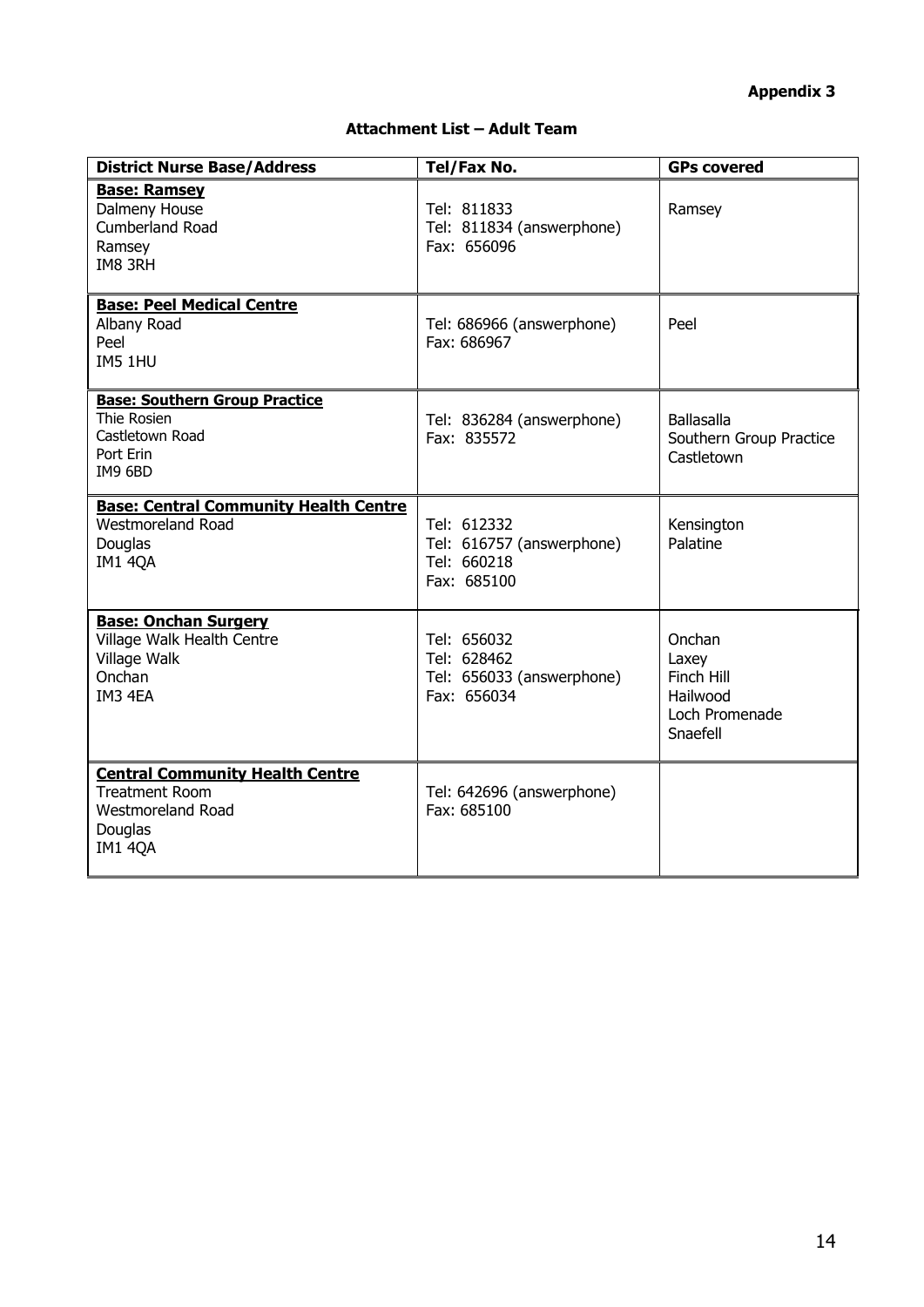# **Appendix 3**

#### **Attachment List – Adult Team**

| <b>District Nurse Base/Address</b>                                                                                | Tel/Fax No.                                                            | <b>GPs covered</b>                                                      |
|-------------------------------------------------------------------------------------------------------------------|------------------------------------------------------------------------|-------------------------------------------------------------------------|
| <b>Base: Ramsey</b><br>Dalmeny House<br><b>Cumberland Road</b><br>Ramsey<br>IM8 3RH                               | Tel: 811833<br>Tel: 811834 (answerphone)<br>Fax: 656096                | Ramsey                                                                  |
| <b>Base: Peel Medical Centre</b><br>Albany Road<br>Peel<br>IM5 1HU                                                | Tel: 686966 (answerphone)<br>Fax: 686967                               | Peel                                                                    |
| <b>Base: Southern Group Practice</b><br>Thie Rosien<br>Castletown Road<br>Port Erin<br>IM9 6BD                    | Tel: 836284 (answerphone)<br>Fax: 835572                               | <b>Ballasalla</b><br>Southern Group Practice<br>Castletown              |
| <b>Base: Central Community Health Centre</b><br><b>Westmoreland Road</b><br>Douglas<br><b>IM1 4QA</b>             | Tel: 612332<br>Tel: 616757 (answerphone)<br>Tel: 660218<br>Fax: 685100 | Kensington<br>Palatine                                                  |
| <b>Base: Onchan Surgery</b><br>Village Walk Health Centre<br>Village Walk<br>Onchan<br>IM3 4EA                    | Tel: 656032<br>Tel: 628462<br>Tel: 656033 (answerphone)<br>Fax: 656034 | Onchan<br>Laxey<br>Finch Hill<br>Hailwood<br>Loch Promenade<br>Snaefell |
| <b>Central Community Health Centre</b><br><b>Treatment Room</b><br><b>Westmoreland Road</b><br>Douglas<br>IM1 4QA | Tel: 642696 (answerphone)<br>Fax: 685100                               |                                                                         |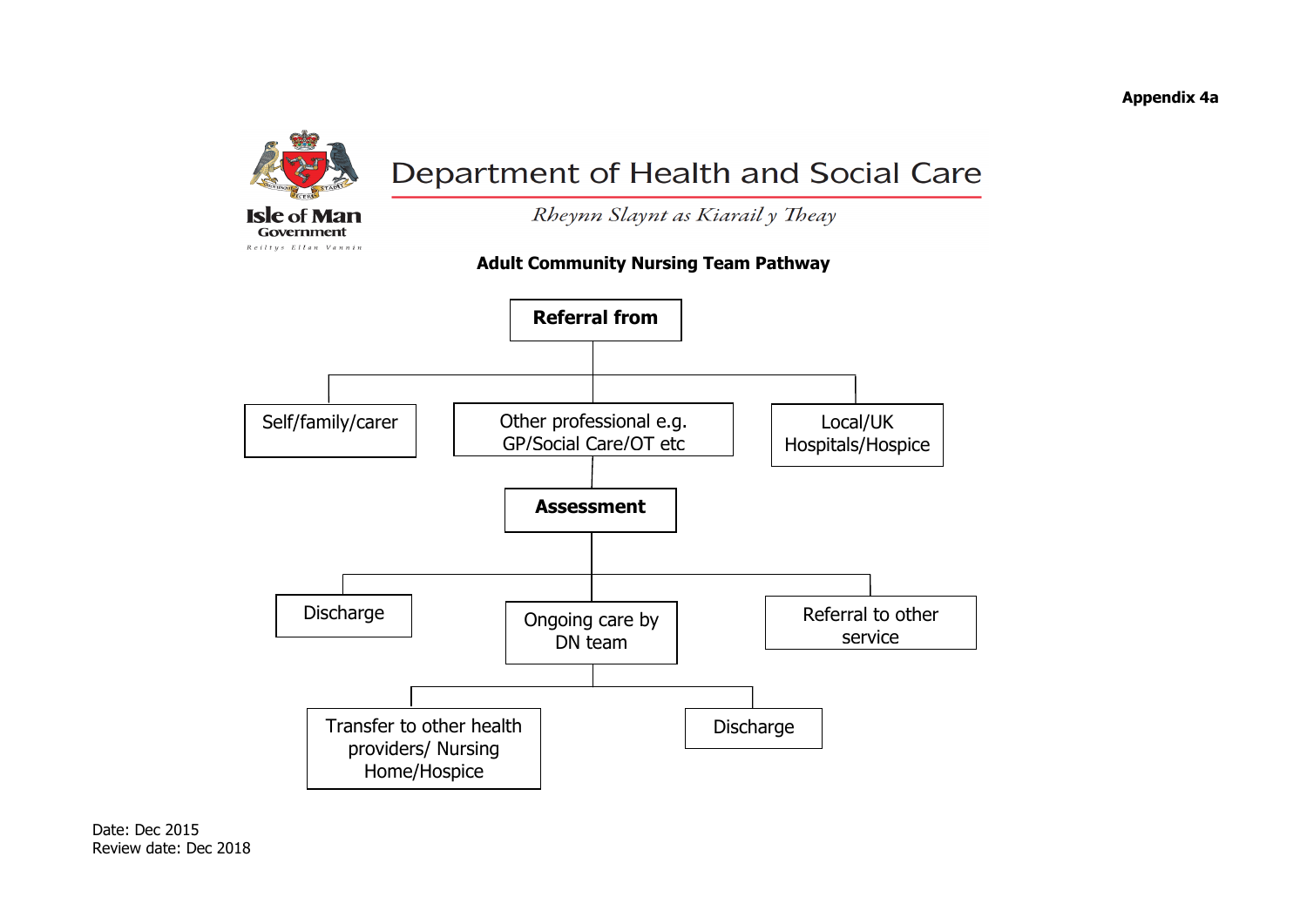

Rheynn Slaynt as Kiarail y Theay

# **Adult Community Nursing Team Pathway**

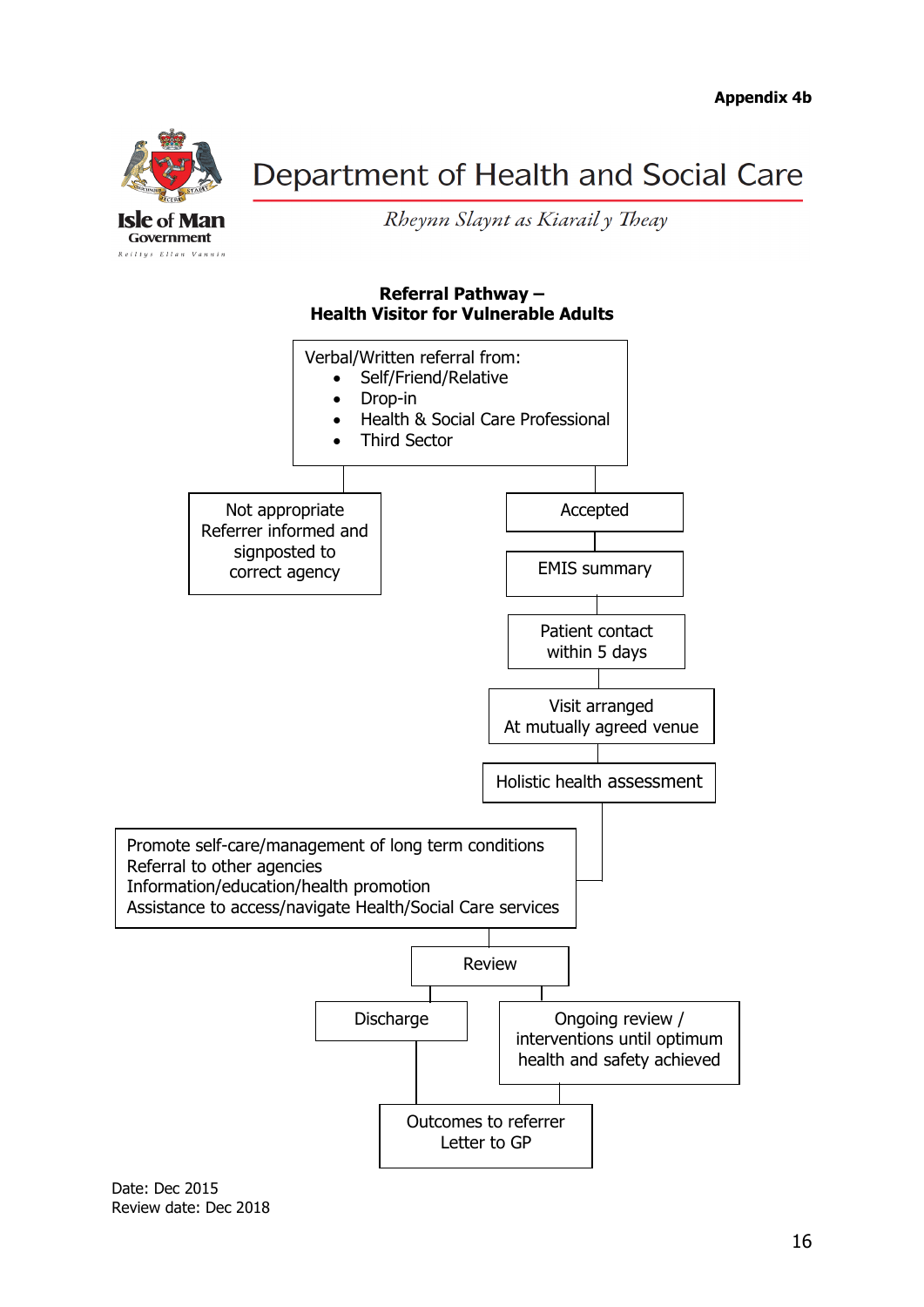

Rheynn Slaynt as Kiarail y Theay

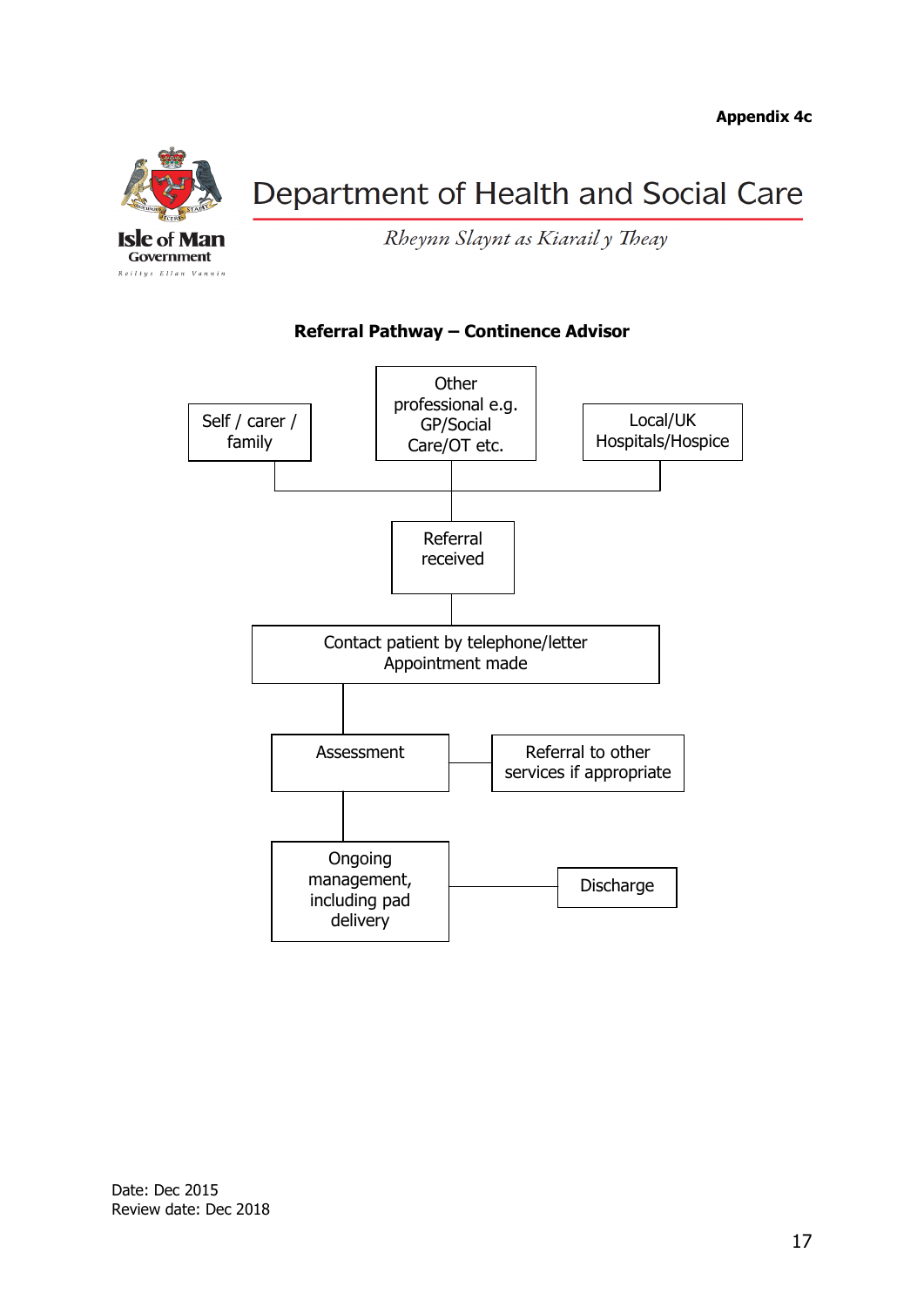

Rheynn Slaynt as Kiarail y Theay



# **Referral Pathway – Continence Advisor**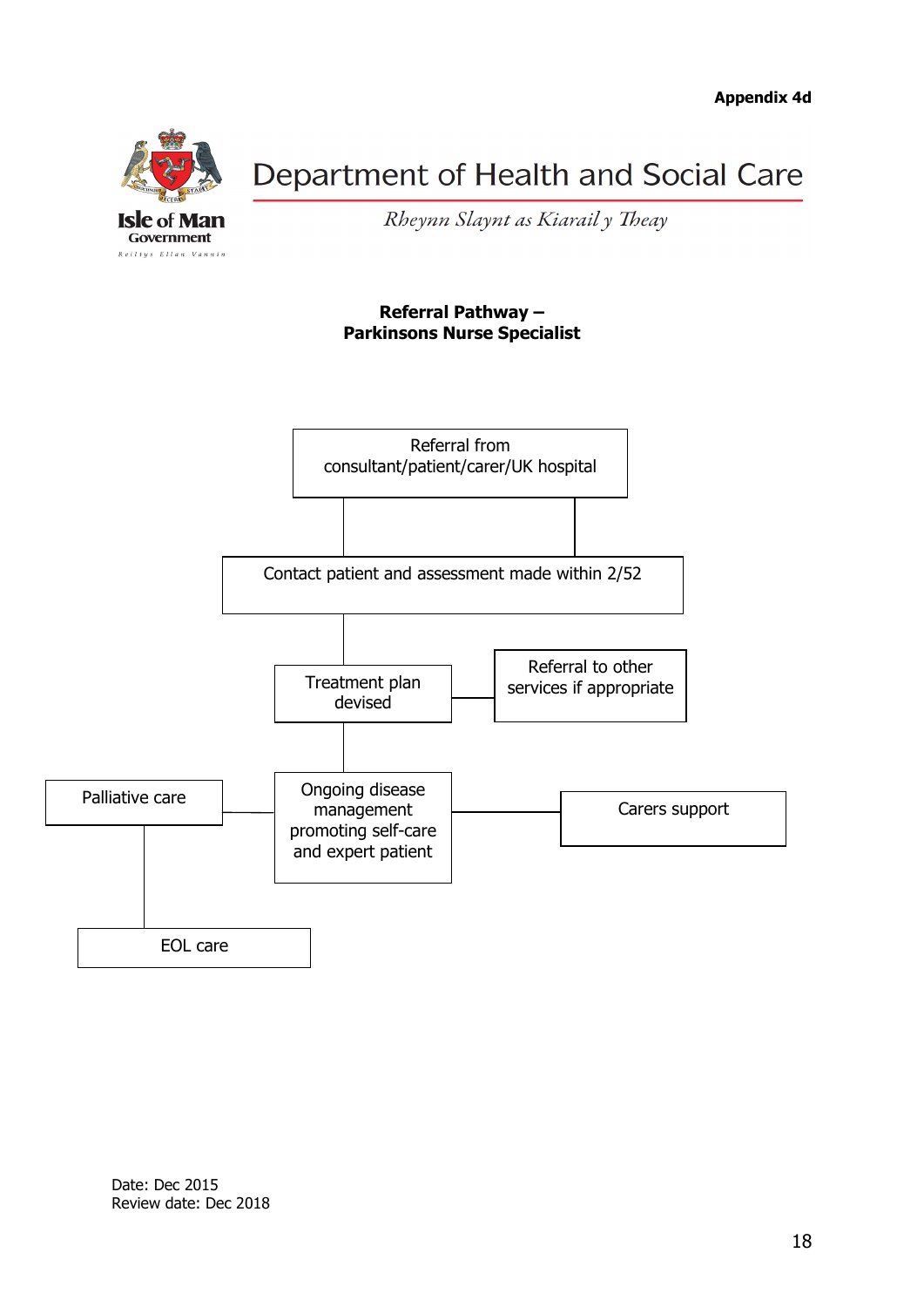

Rheynn Slaynt as Kiarail y Theay

#### **Referral Pathway – Parkinsons Nurse Specialist**